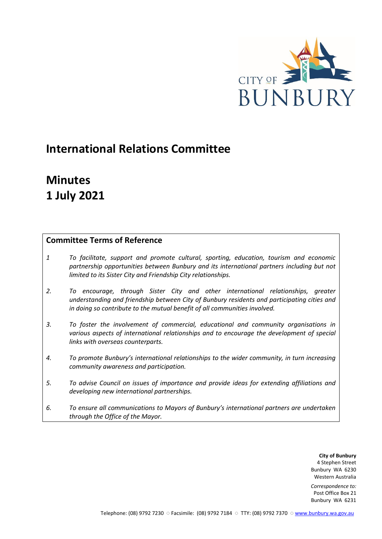

# **International Relations Committee**

# **Minutes 1 July 2021**

# **Committee Terms of Reference**

- *1 To facilitate, support and promote cultural, sporting, education, tourism and economic partnership opportunities between Bunbury and its international partners including but not limited to its Sister City and Friendship City relationships.*
- *2. To encourage, through Sister City and other international relationships, greater understanding and friendship between City of Bunbury residents and participating cities and in doing so contribute to the mutual benefit of all communities involved.*
- *3. To foster the involvement of commercial, educational and community organisations in various aspects of international relationships and to encourage the development of special links with overseas counterparts.*
- *4. To promote Bunbury's international relationships to the wider community, in turn increasing community awareness and participation.*
- *5. To advise Council on issues of importance and provide ideas for extending affiliations and developing new international partnerships.*
- *6. To ensure all communications to Mayors of Bunbury's international partners are undertaken through the Office of the Mayor.*

**City of Bunbury** 4 Stephen Street Bunbury WA 6230 Western Australia

*Correspondence to:* Post Office Box 21 Bunbury WA 6231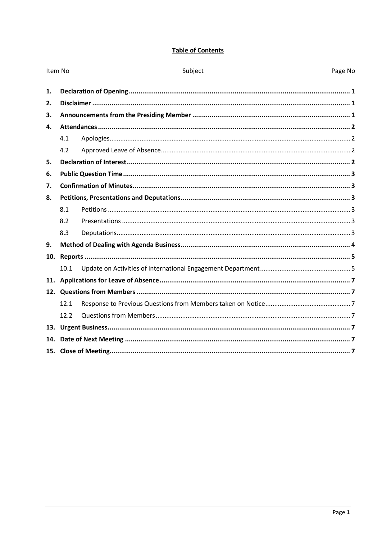# **Table of Contents**

| Item No |      | Subject<br>Page No |  |
|---------|------|--------------------|--|
| 1.      |      |                    |  |
| 2.      |      |                    |  |
| 3.      |      |                    |  |
| 4.      |      |                    |  |
|         | 4.1  |                    |  |
|         | 4.2  |                    |  |
| 5.      |      |                    |  |
| 6.      |      |                    |  |
| 7.      |      |                    |  |
| 8.      |      |                    |  |
|         | 8.1  |                    |  |
|         | 8.2  |                    |  |
|         | 8.3  |                    |  |
| 9.      |      |                    |  |
| 10.     |      |                    |  |
|         | 10.1 |                    |  |
|         |      |                    |  |
| 12.     |      |                    |  |
|         | 12.1 |                    |  |
|         | 12.2 |                    |  |
|         |      |                    |  |
| 14.     |      |                    |  |
|         |      |                    |  |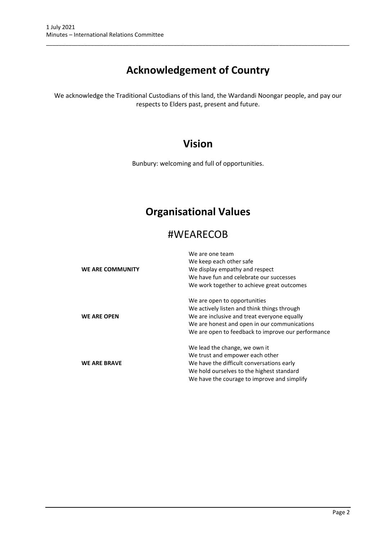# **Acknowledgement of Country**

\_\_\_\_\_\_\_\_\_\_\_\_\_\_\_\_\_\_\_\_\_\_\_\_\_\_\_\_\_\_\_\_\_\_\_\_\_\_\_\_\_\_\_\_\_\_\_\_\_\_\_\_\_\_\_\_\_\_\_\_\_\_\_\_\_\_\_\_\_\_\_\_\_\_\_\_\_\_\_\_\_\_\_\_\_\_\_\_\_\_\_\_\_\_\_

We acknowledge the Traditional Custodians of this land, the Wardandi Noongar people, and pay our respects to Elders past, present and future.

# **Vision**

Bunbury: welcoming and full of opportunities.

# **Organisational Values**

# #WEARECOB

|                     | We are one team                                    |  |  |  |
|---------------------|----------------------------------------------------|--|--|--|
|                     | We keep each other safe                            |  |  |  |
| WE ARE COMMUNITY    | We display empathy and respect                     |  |  |  |
|                     | We have fun and celebrate our successes            |  |  |  |
|                     | We work together to achieve great outcomes         |  |  |  |
|                     | We are open to opportunities                       |  |  |  |
|                     | We actively listen and think things through        |  |  |  |
| <b>WE ARE OPEN</b>  | We are inclusive and treat everyone equally        |  |  |  |
|                     | We are honest and open in our communications       |  |  |  |
|                     | We are open to feedback to improve our performance |  |  |  |
|                     | We lead the change, we own it                      |  |  |  |
|                     | We trust and empower each other                    |  |  |  |
| <b>WE ARE BRAVE</b> | We have the difficult conversations early          |  |  |  |
|                     | We hold ourselves to the highest standard          |  |  |  |
|                     | We have the courage to improve and simplify        |  |  |  |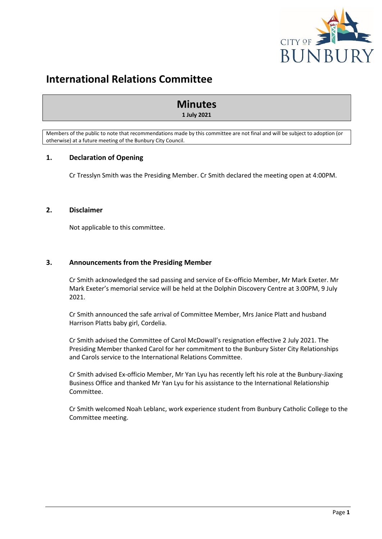

# **International Relations Committee**

# **Minutes 1 July 2021**

Members of the public to note that recommendations made by this committee are not final and will be subject to adoption (or otherwise) at a future meeting of the Bunbury City Council.

# <span id="page-3-0"></span>**1. Declaration of Opening**

Cr Tresslyn Smith was the Presiding Member. Cr Smith declared the meeting open at 4:00PM.

### <span id="page-3-1"></span>**2. Disclaimer**

Not applicable to this committee.

# <span id="page-3-2"></span>**3. Announcements from the Presiding Member**

Cr Smith acknowledged the sad passing and service of Ex-officio Member, Mr Mark Exeter. Mr Mark Exeter's memorial service will be held at the Dolphin Discovery Centre at 3:00PM, 9 July 2021.

Cr Smith announced the safe arrival of Committee Member, Mrs Janice Platt and husband Harrison Platts baby girl, Cordelia.

Cr Smith advised the Committee of Carol McDowall's resignation effective 2 July 2021. The Presiding Member thanked Carol for her commitment to the Bunbury Sister City Relationships and Carols service to the International Relations Committee.

Cr Smith advised Ex-officio Member, Mr Yan Lyu has recently left his role at the Bunbury-Jiaxing Business Office and thanked Mr Yan Lyu for his assistance to the International Relationship Committee.

Cr Smith welcomed Noah Leblanc, work experience student from Bunbury Catholic College to the Committee meeting.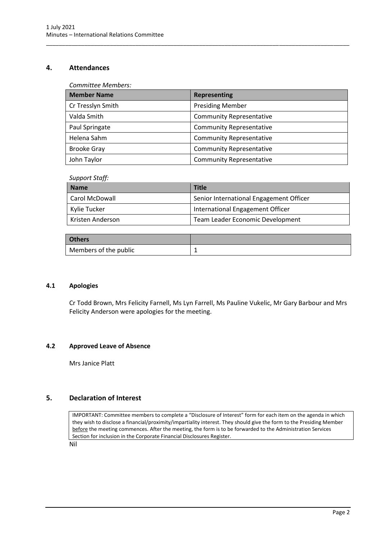# <span id="page-4-0"></span>**4. Attendances**

*Committee Members:*

| <b>Member Name</b> | <b>Representing</b>             |  |
|--------------------|---------------------------------|--|
| Cr Tresslyn Smith  | <b>Presiding Member</b>         |  |
| Valda Smith        | <b>Community Representative</b> |  |
| Paul Springate     | <b>Community Representative</b> |  |
| Helena Sahm        | <b>Community Representative</b> |  |
| <b>Brooke Gray</b> | <b>Community Representative</b> |  |
| John Taylor        | <b>Community Representative</b> |  |

\_\_\_\_\_\_\_\_\_\_\_\_\_\_\_\_\_\_\_\_\_\_\_\_\_\_\_\_\_\_\_\_\_\_\_\_\_\_\_\_\_\_\_\_\_\_\_\_\_\_\_\_\_\_\_\_\_\_\_\_\_\_\_\_\_\_\_\_\_\_\_\_\_\_\_\_\_\_\_\_\_\_\_\_\_\_\_\_\_\_\_\_\_\_\_

### *Support Staff:*

| <b>Name</b>      | <b>Title</b>                            |
|------------------|-----------------------------------------|
| Carol McDowall   | Senior International Engagement Officer |
| Kylie Tucker     | International Engagement Officer        |
| Kristen Anderson | Team Leader Economic Development        |

| <b>Others</b>         |   |
|-----------------------|---|
| Members of the public | - |

### <span id="page-4-1"></span>**4.1 Apologies**

Cr Todd Brown, Mrs Felicity Farnell, Ms Lyn Farrell, Ms Pauline Vukelic, Mr Gary Barbour and Mrs Felicity Anderson were apologies for the meeting.

### <span id="page-4-2"></span>**4.2 Approved Leave of Absence**

Mrs Janice Platt

# <span id="page-4-3"></span>**5. Declaration of Interest**

IMPORTANT: Committee members to complete a "Disclosure of Interest" form for each item on the agenda in which they wish to disclose a financial/proximity/impartiality interest. They should give the form to the Presiding Member before the meeting commences. After the meeting, the form is to be forwarded to the Administration Services Section for inclusion in the Corporate Financial Disclosures Register.

Nil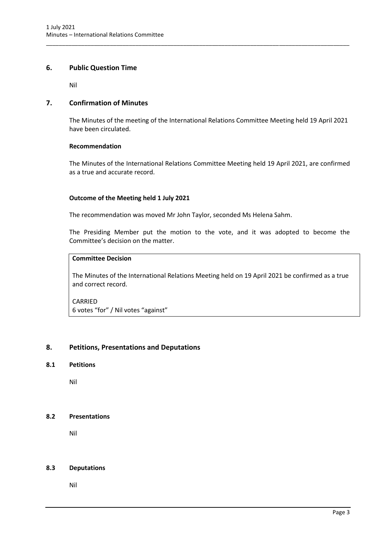# <span id="page-5-0"></span>**6. Public Question Time**

Nil

# <span id="page-5-1"></span>**7. Confirmation of Minutes**

The Minutes of the meeting of the International Relations Committee Meeting held 19 April 2021 have been circulated.

\_\_\_\_\_\_\_\_\_\_\_\_\_\_\_\_\_\_\_\_\_\_\_\_\_\_\_\_\_\_\_\_\_\_\_\_\_\_\_\_\_\_\_\_\_\_\_\_\_\_\_\_\_\_\_\_\_\_\_\_\_\_\_\_\_\_\_\_\_\_\_\_\_\_\_\_\_\_\_\_\_\_\_\_\_\_\_\_\_\_\_\_\_\_\_

### **Recommendation**

The Minutes of the International Relations Committee Meeting held 19 April 2021, are confirmed as a true and accurate record.

### **Outcome of the Meeting held 1 July 2021**

The recommendation was moved Mr John Taylor, seconded Ms Helena Sahm.

The Presiding Member put the motion to the vote, and it was adopted to become the Committee's decision on the matter.

# **Committee Decision**

The Minutes of the International Relations Meeting held on 19 April 2021 be confirmed as a true and correct record.

CARRIED 6 votes "for" / Nil votes "against"

# <span id="page-5-2"></span>**8. Petitions, Presentations and Deputations**

### <span id="page-5-3"></span>**8.1 Petitions**

Nil

#### <span id="page-5-4"></span>**8.2 Presentations**

Nil

#### <span id="page-5-5"></span>**8.3 Deputations**

Nil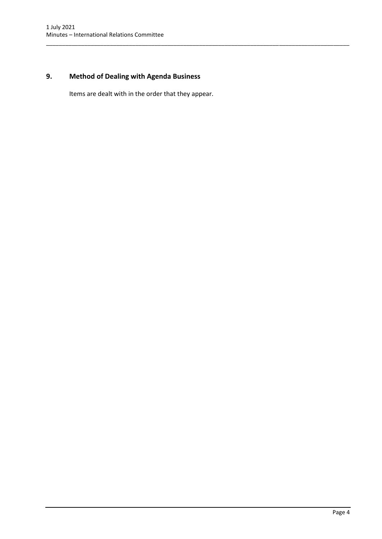# <span id="page-6-0"></span>**9. Method of Dealing with Agenda Business**

Items are dealt with in the order that they appear.

\_\_\_\_\_\_\_\_\_\_\_\_\_\_\_\_\_\_\_\_\_\_\_\_\_\_\_\_\_\_\_\_\_\_\_\_\_\_\_\_\_\_\_\_\_\_\_\_\_\_\_\_\_\_\_\_\_\_\_\_\_\_\_\_\_\_\_\_\_\_\_\_\_\_\_\_\_\_\_\_\_\_\_\_\_\_\_\_\_\_\_\_\_\_\_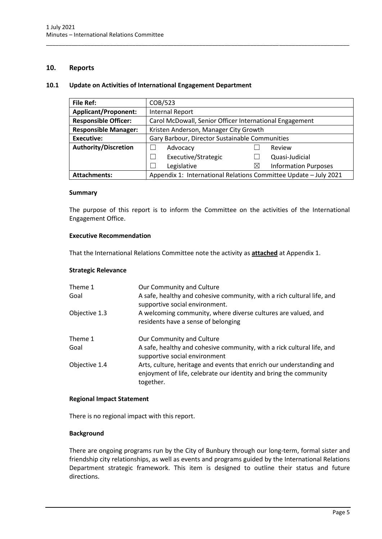# <span id="page-7-0"></span>**10. Reports**

#### <span id="page-7-1"></span>**10.1 Update on Activities of International Engagement Department**

| <b>File Ref:</b>                                                                        | COB/523                                                 |   |                             |  |
|-----------------------------------------------------------------------------------------|---------------------------------------------------------|---|-----------------------------|--|
| <b>Applicant/Proponent:</b>                                                             | <b>Internal Report</b>                                  |   |                             |  |
| <b>Responsible Officer:</b>                                                             | Carol McDowall, Senior Officer International Engagement |   |                             |  |
| <b>Responsible Manager:</b>                                                             | Kristen Anderson, Manager City Growth                   |   |                             |  |
| <b>Executive:</b>                                                                       | Gary Barbour, Director Sustainable Communities          |   |                             |  |
| <b>Authority/Discretion</b>                                                             | Advocacy                                                |   | Review                      |  |
|                                                                                         | Executive/Strategic                                     |   | Quasi-Judicial              |  |
|                                                                                         | Legislative                                             | ⊠ | <b>Information Purposes</b> |  |
| Appendix 1: International Relations Committee Update - July 2021<br><b>Attachments:</b> |                                                         |   |                             |  |

\_\_\_\_\_\_\_\_\_\_\_\_\_\_\_\_\_\_\_\_\_\_\_\_\_\_\_\_\_\_\_\_\_\_\_\_\_\_\_\_\_\_\_\_\_\_\_\_\_\_\_\_\_\_\_\_\_\_\_\_\_\_\_\_\_\_\_\_\_\_\_\_\_\_\_\_\_\_\_\_\_\_\_\_\_\_\_\_\_\_\_\_\_\_\_

#### **Summary**

The purpose of this report is to inform the Committee on the activities of the International Engagement Office.

#### **Executive Recommendation**

That the International Relations Committee note the activity as **attached** at Appendix 1.

### **Strategic Relevance**

| Theme 1<br>Goal | Our Community and Culture<br>A safe, healthy and cohesive community, with a rich cultural life, and<br>supportive social environment.                  |  |  |
|-----------------|--------------------------------------------------------------------------------------------------------------------------------------------------------|--|--|
| Objective 1.3   | A welcoming community, where diverse cultures are valued, and<br>residents have a sense of belonging                                                   |  |  |
| Theme 1<br>Goal | Our Community and Culture<br>A safe, healthy and cohesive community, with a rick cultural life, and<br>supportive social environment                   |  |  |
| Objective 1.4   | Arts, culture, heritage and events that enrich our understanding and<br>enjoyment of life, celebrate our identity and bring the community<br>together. |  |  |

#### **Regional Impact Statement**

There is no regional impact with this report.

### **Background**

There are ongoing programs run by the City of Bunbury through our long-term, formal sister and friendship city relationships, as well as events and programs guided by the International Relations Department strategic framework. This item is designed to outline their status and future directions.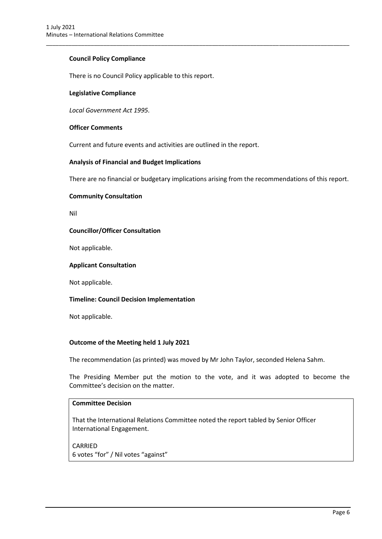# **Council Policy Compliance**

There is no Council Policy applicable to this report.

### **Legislative Compliance**

*Local Government Act 1995.*

### **Officer Comments**

Current and future events and activities are outlined in the report.

### **Analysis of Financial and Budget Implications**

There are no financial or budgetary implications arising from the recommendations of this report.

\_\_\_\_\_\_\_\_\_\_\_\_\_\_\_\_\_\_\_\_\_\_\_\_\_\_\_\_\_\_\_\_\_\_\_\_\_\_\_\_\_\_\_\_\_\_\_\_\_\_\_\_\_\_\_\_\_\_\_\_\_\_\_\_\_\_\_\_\_\_\_\_\_\_\_\_\_\_\_\_\_\_\_\_\_\_\_\_\_\_\_\_\_\_\_

### **Community Consultation**

Nil

# **Councillor/Officer Consultation**

Not applicable.

# **Applicant Consultation**

Not applicable.

### **Timeline: Council Decision Implementation**

Not applicable.

### **Outcome of the Meeting held 1 July 2021**

The recommendation (as printed) was moved by Mr John Taylor, seconded Helena Sahm.

The Presiding Member put the motion to the vote, and it was adopted to become the Committee's decision on the matter.

## **Committee Decision**

That the International Relations Committee noted the report tabled by Senior Officer International Engagement.

CARRIED 6 votes "for" / Nil votes "against"